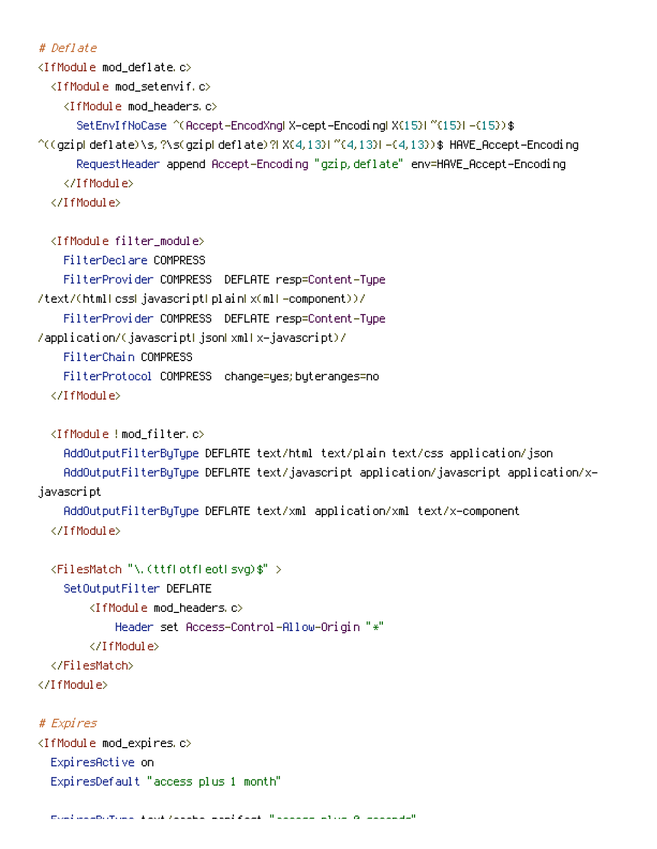# Deflate

```
<IfModule mod_deflate.c>
  <IfModule mod_setenvif.c>
    <IfModule mod_headers.c>
      SetEnvIfNoCase ^(Accept-EncodXng|X-cept-Encoding|X{15}| ~{15}) +{15}) $
^{\circ}((gziplideflate)\s,?\s(gziplideflate)?|X(4,13}|~{4,13}|-{4,13})$ HAVE_Accept-Encoding
      RequestHeader append Accept-Encoding "gzip,deflate" env=HAVE_Accept-Encoding
    </IfModule>
  </IfModule>
  <IfModule filter_module>
    FilterDeclare COMPRESS
    FilterProvider COMPRESS DEFLATE resp=Content-Type
/text/(html|css|javascript|plain|x(ml|-component))/
    FilterProvider COMPRESS DEFLATE resp=Content-Type
/application/(javascript|json|xml|x-javascript)/
    FilterChain COMPRESS
    FilterProtocol COMPRESS change=yes;byteranges=no
  </IfModule>
  <IfModule !mod_filter.c>
    AddOutputFilterByType DEFLATE text/html text/plain text/css application/json
    AddOutputFilterByType DEFLATE text/javascript application/javascript application/x-
javascript
    AddOutputFilterByType DEFLATE text/xml application/xml text/x-component
  </IfModule>
  <FilesMatch "\.(ttf|otf|eot|svg)$" >
    SetOutputFilter DEFLATE
        <IfModule mod_headers.c>
            Header set Access-Control-Allow-Origin "*"
        </IfModule>
  </FilesMatch>
</IfModule>
# Expires
<IfModule mod_expires.c>
  ExpiresActive on
```
ExpiresDefault "access plus 1 month"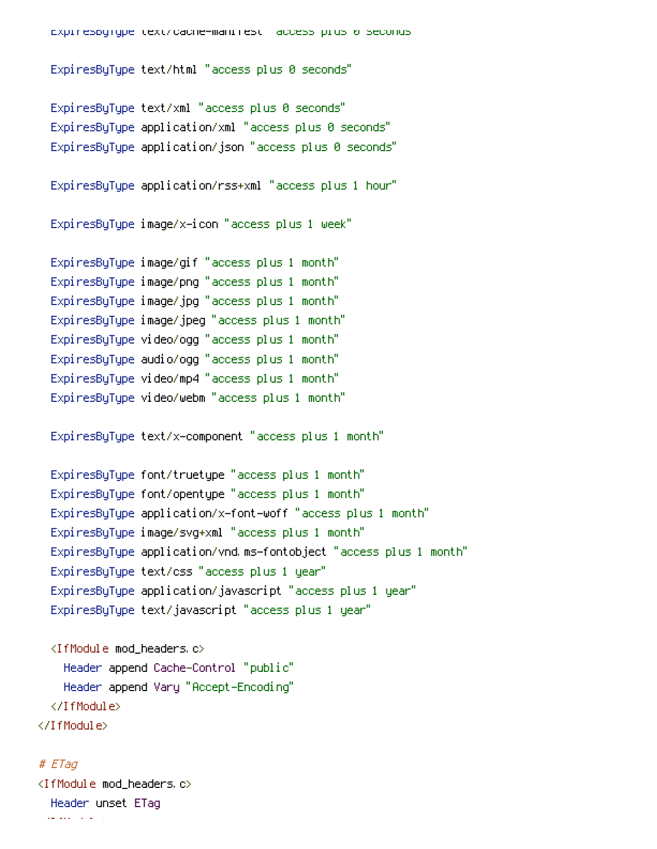ExpiresByType text/html "access plus 0 seconds"

ExpiresByType text/xml "access plus 0 seconds" ExpiresByType application/xml "access plus 0 seconds" ExpiresByType application/json "access plus 0 seconds"

```
ExpiresByType application/rss+xml "access plus 1 hour"
```
ExpiresByType image/x-icon "access plus 1 week"

ExpiresByType image/gif "access plus 1 month" ExpiresByType image/png "access plus 1 month" ExpiresByType image/jpg "access plus 1 month" ExpiresByType image/jpeg "access plus 1 month" ExpiresByType video/ogg "access plus 1 month" ExpiresByType audio/ogg "access plus 1 month" ExpiresByType video/mp4 "access plus 1 month" ExpiresByType video/webm "access plus 1 month"

ExpiresByType text/x-component "access plus 1 month"

ExpiresByType font/truetype "access plus 1 month" ExpiresByType font/opentype "access plus 1 month" ExpiresByType application/x-font-woff "access plus 1 month" ExpiresByType image/svg+xml "access plus 1 month" ExpiresByType application/vnd.ms-fontobject "access plus 1 month" ExpiresByType text/css "access plus 1 year" ExpiresByType application/javascript "access plus 1 year" ExpiresByType text/javascript "access plus 1 year"

```
<IfModule mod_headers.c>
  Header append Cache-Control "public"
  Header append Vary "Accept-Encoding"
```
</IfModule>

</IfModule>

## # ETag <IfModule mod\_headers.c> Header unset ETag .<br>If we have a simple state